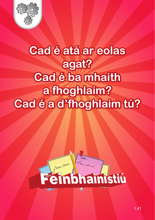

#### **Cad é atá ar eolas agat? Cad é ba mhaith a fhoghlaim? Cad é a d'fhoghlaim tú?**



Bain sult as!

#### Féinbhainistiú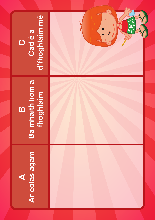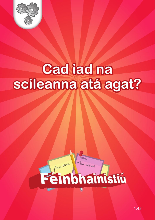

#### **Cad iad na scileanna atá agat?**



Bain sult as!

### Feinbhamistiu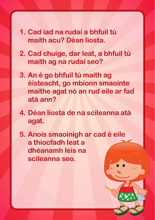- **1. Cad iad na rudaí a bhfuil tú maith acu? Déan liosta.**
- **2. Cad chuige, dar leat, a bhfuil tú maith ag na rudaí seo?**
- **3. An é go bhfuil tú maith ag éisteacht, go mbíonn smaointe maithe agat nó an rud eile ar fad atá ann?**
- **4. Déan liosta de na scileanna atá agat.**
- **5. Anois smaoinigh ar cad é eile a thiocfadh leat a dhéanamh leis na scileanna seo.**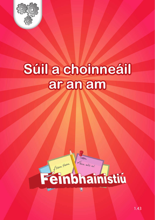

#### Súil a choinneáil ar an am



Bain sult as!

# Feinbhainistiu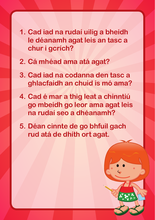- **1. Cad iad na rudaí uilig a bheidh le déanamh agat leis an tasc a chur i gcrích?**
- **2. Cá mhéad ama atá agat?**
- **3. Cad iad na codanna den tasc a ghlacfaidh an chuid is mó ama?**
- **4. Cad é mar a thig leat a chinntiú go mbeidh go leor ama agat leis na rudaí seo a dhéanamh?**
- **5. Déan cinnte de go bhfuil gach rud atá de dhíth ort agat.**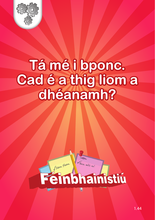

#### **Tá mé i bponc. Cad é a thig liom a dhéanamh?**



Bain sult as!

### Feinbhainistiu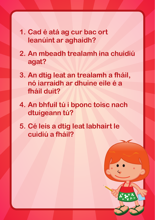- **1. Cad é atá ag cur bac ort leanúint ar aghaidh?**
- **2. An mbeadh trealamh ina chuidiú agat?**
- **3. An dtig leat an trealamh a fháil, nó iarraidh ar dhuine eile é a fháil duit?**
- **4. An bhfuil tú i bponc toisc nach dtuigeann tú?**
- **5. Cé leis a dtig leat labhairt le cuidiú a fháil?**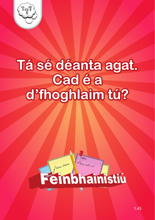

#### Tá sé déanta agat. d'fhoghlaim tú?



Bain sult as!

### Feinbhainistiu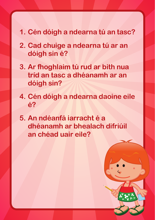#### **1. Cén dóigh a ndearna tú an tasc?**

- **2. Cad chuige a ndearna tú ar an dóigh sin é?**
- **3. Ar fhoghlaim tú rud ar bith nua tríd an tasc a dhéanamh ar an dóigh sin?**
- **4. Cén dóigh a ndearna daoine eile é?**
- **5. An ndéanfá iarracht é a dhéanamh ar bhealach difriúil an chéad uair eile?**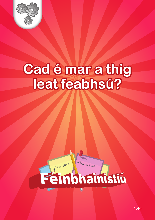

# Cad é mar a thig<br>Ieat feabhsú?



Bain sult as!

## **Einbhamistiu**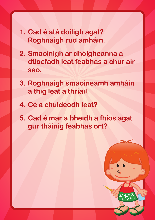- **1. Cad é atá doiligh agat? Roghnaigh rud amháin.**
- **2. Smaoinigh ar dhóigheanna a dtiocfadh leat feabhas a chur air seo.**
- **3. Roghnaigh smaoineamh amháin a thig leat a thriail.**
- **4. Cé a chuideodh leat?**
- **5. Cad é mar a bheidh a fhios agat gur tháinig feabhas ort?**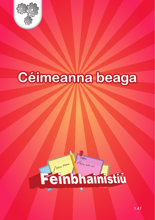

#### Céimeanna beaga



Bain sult as!

### Feinbhamstin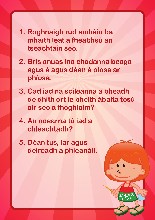- **1. Roghnaigh rud amháin ba mhaith leat a fheabhsú an tseachtain seo.**
- **2. Bris anuas ina chodanna beaga agus é agus déan é píosa ar phíosa.**
- **3. Cad iad na scileanna a bheadh de dhíth ort le bheith ábalta tosú air seo a fhoghlaim?**
- **4. An ndearna tú iad a chleachtadh?**
- **5. Déan tús, lár agus deireadh a phleanáil.**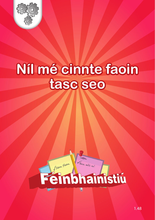

# Níl mé cinnte faoin



Bain sult as!

### **Einbhaimistiu**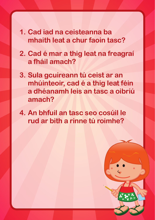- **1. Cad iad na ceisteanna ba mhaith leat a chur faoin tasc?**
- **2. Cad é mar a thig leat na freagraí a fháil amach?**
- **3. Sula gcuireann tú ceist ar an mhúinteoir, cad é a thig leat féin a dhéanamh leis an tasc a oibriú amach?**
- **4. An bhfuil an tasc seo cosúil le rud ar bith a rinne tú roimhe?**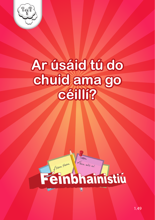

#### **Ar úsáid tú do chuid ama go céillí?**



Bain sult as!

### Feinbhainistiu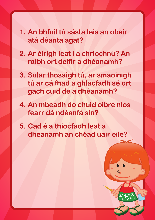- **1. An bhfuil tú sásta leis an obair atá déanta agat?**
- **2. Ar éirigh leat í a chríochnú? An raibh ort deifir a dhéanamh?**
- **3. Sular thosaigh tú, ar smaoinigh tú ar cá fhad a ghlacfadh sé ort gach cuid de a dhéanamh?**
- **4. An mbeadh do chuid oibre níos fearr dá ndéanfá sin?**
- **5. Cad é a thiocfadh leat a dhéanamh an chéad uair eile?**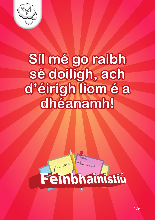

#### **Síl mé go raibh sé doiligh, ach d'éirigh liom é a dhéanamh!**



Bain sult as!

### Feinbhainistiu